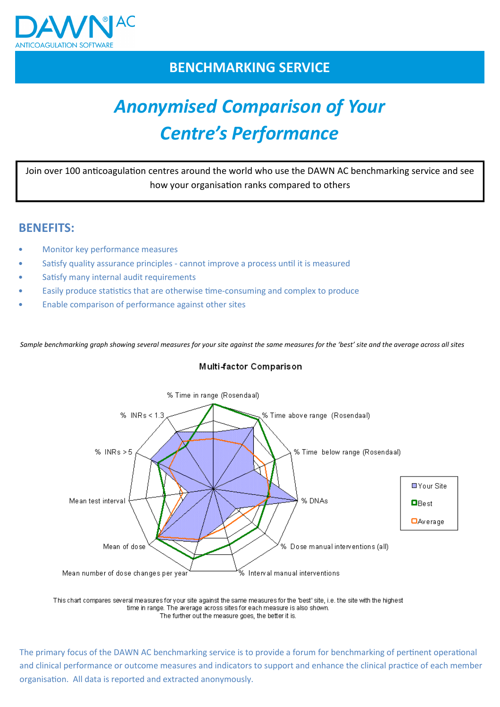

# BENCHMARKING SERVICE

# Anonymised Comparison of Your Centre's Performance

Join over 100 anticoagulation centres around the world who use the DAWN AC benchmarking service and see how your organisation ranks compared to others

## BENEFITS:

- Monitor key performance measures
- Satisfy quality assurance principles cannot improve a process until it is measured
- Satisfy many internal audit requirements
- Easily produce statistics that are otherwise time-consuming and complex to produce
- Enable comparison of performance against other sites

Sample benchmarking graph showing several measures for your site against the same measures for the 'best' site and the average across all sites





This chart compares several measures for your site against the same measures for the 'best' site, i.e. the site with the highest time in range. The average across sites for each measure is also shown. The further out the measure goes, the better it is.

The primary focus of the DAWN AC benchmarking service is to provide a forum for benchmarking of pertinent operational and clinical performance or outcome measures and indicators to support and enhance the clinical practice of each member organisation. All data is reported and extracted anonymously.